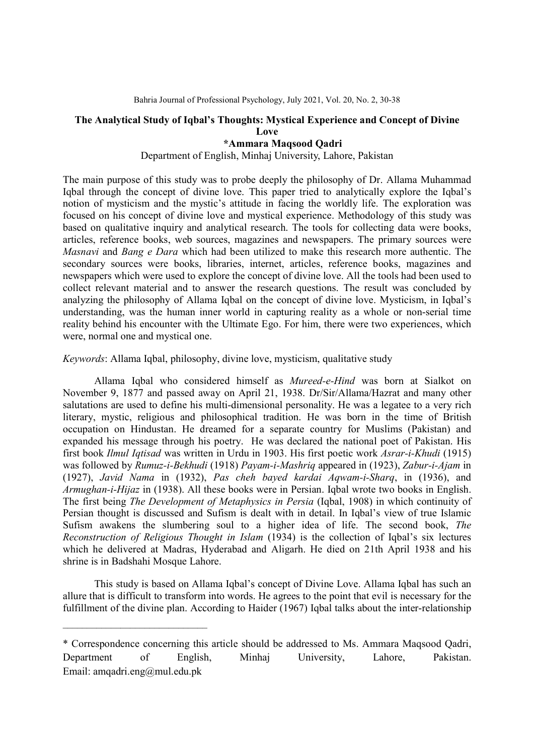### The Analytical Study of Iqbal's Thoughts: Mystical Experience and Concept of Divine Love

# \*Ammara Maqsood Qadri

# Department of English, Minhaj University, Lahore, Pakistan

The main purpose of this study was to probe deeply the philosophy of Dr. Allama Muhammad Iqbal through the concept of divine love. This paper tried to analytically explore the Iqbal's notion of mysticism and the mystic's attitude in facing the worldly life. The exploration was focused on his concept of divine love and mystical experience. Methodology of this study was based on qualitative inquiry and analytical research. The tools for collecting data were books, articles, reference books, web sources, magazines and newspapers. The primary sources were Masnavi and Bang e Dara which had been utilized to make this research more authentic. The secondary sources were books, libraries, internet, articles, reference books, magazines and newspapers which were used to explore the concept of divine love. All the tools had been used to collect relevant material and to answer the research questions. The result was concluded by analyzing the philosophy of Allama Iqbal on the concept of divine love. Mysticism, in Iqbal's understanding, was the human inner world in capturing reality as a whole or non-serial time reality behind his encounter with the Ultimate Ego. For him, there were two experiences, which were, normal one and mystical one.

Keywords: Allama Iqbal, philosophy, divine love, mysticism, qualitative study

Allama Iqbal who considered himself as Mureed-e-Hind was born at Sialkot on November 9, 1877 and passed away on April 21, 1938. Dr/Sir/Allama/Hazrat and many other salutations are used to define his multi-dimensional personality. He was a legatee to a very rich literary, mystic, religious and philosophical tradition. He was born in the time of British occupation on Hindustan. He dreamed for a separate country for Muslims (Pakistan) and expanded his message through his poetry. He was declared the national poet of Pakistan. His first book Ilmul Iqtisad was written in Urdu in 1903. His first poetic work Asrar-i-Khudi (1915) was followed by Rumuz-i-Bekhudi (1918) Payam-i-Mashriq appeared in (1923), Zabur-i-Ajam in (1927), Javid Nama in (1932), Pas cheh bayed kardai Aqwam-i-Sharq, in (1936), and Armughan-i-Hijaz in (1938). All these books were in Persian. Iqbal wrote two books in English. The first being The Development of Metaphysics in Persia (Iqbal, 1908) in which continuity of Persian thought is discussed and Sufism is dealt with in detail. In Iqbal's view of true Islamic Sufism awakens the slumbering soul to a higher idea of life. The second book, The Reconstruction of Religious Thought in Islam (1934) is the collection of Iqbal's six lectures which he delivered at Madras, Hyderabad and Aligarh. He died on 21th April 1938 and his shrine is in Badshahi Mosque Lahore.

This study is based on Allama Iqbal's concept of Divine Love. Allama Iqbal has such an allure that is difficult to transform into words. He agrees to the point that evil is necessary for the fulfillment of the divine plan. According to Haider (1967) Iqbal talks about the inter-relationship

 $\mathcal{L}_\text{max}$ 

<sup>\*</sup> Correspondence concerning this article should be addressed to Ms. Ammara Maqsood Qadri, Department of English, Minhaj University, Lahore, Pakistan. Email: amqadri.eng@mul.edu.pk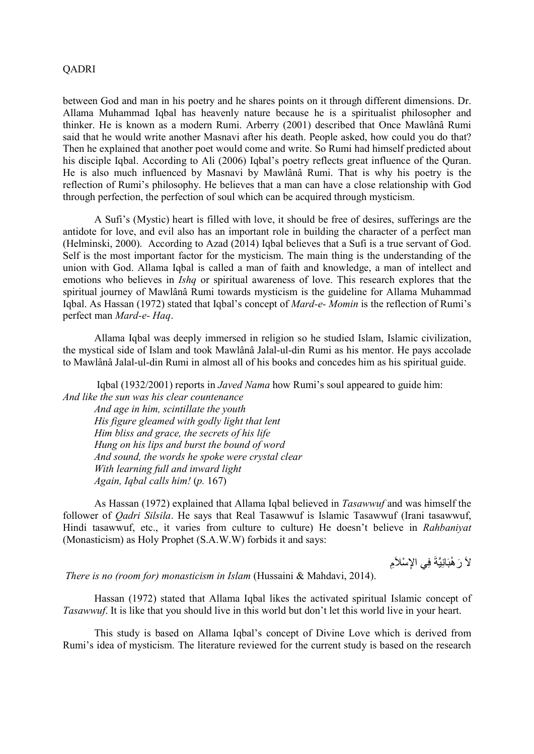#### QADRI

between God and man in his poetry and he shares points on it through different dimensions. Dr. Allama Muhammad Iqbal has heavenly nature because he is a spiritualist philosopher and thinker. He is known as a modern Rumi. Arberry (2001) described that Once Mawlânâ Rumi said that he would write another Masnavi after his death. People asked, how could you do that? Then he explained that another poet would come and write. So Rumi had himself predicted about his disciple Iqbal. According to Ali (2006) Iqbal's poetry reflects great influence of the Quran. He is also much influenced by Masnavi by Mawlânâ Rumi. That is why his poetry is the reflection of Rumi's philosophy. He believes that a man can have a close relationship with God through perfection, the perfection of soul which can be acquired through mysticism.

A Sufi's (Mystic) heart is filled with love, it should be free of desires, sufferings are the antidote for love, and evil also has an important role in building the character of a perfect man (Helminski, 2000). According to Azad (2014) Iqbal believes that a Sufi is a true servant of God. Self is the most important factor for the mysticism. The main thing is the understanding of the union with God. Allama Iqbal is called a man of faith and knowledge, a man of intellect and emotions who believes in *Ishq* or spiritual awareness of love. This research explores that the spiritual journey of Mawlânâ Rumi towards mysticism is the guideline for Allama Muhammad Iqbal. As Hassan (1972) stated that Iqbal's concept of Mard-e- Momin is the reflection of Rumi's perfect man Mard-e- Haq.

Allama Iqbal was deeply immersed in religion so he studied Islam, Islamic civilization, the mystical side of Islam and took Mawlânâ Jalal-ul-din Rumi as his mentor. He pays accolade to Mawlânâ Jalal-ul-din Rumi in almost all of his books and concedes him as his spiritual guide.

 Iqbal (1932/2001) reports in Javed Nama how Rumi's soul appeared to guide him: And like the sun was his clear countenance And age in him, scintillate the youth His figure gleamed with godly light that lent Him bliss and grace, the secrets of his life Hung on his lips and burst the bound of word And sound, the words he spoke were crystal clear With learning full and inward light Again, Iqbal calls him! (p. 167)

As Hassan (1972) explained that Allama Iqbal believed in Tasawwuf and was himself the follower of Qadri Silsila. He says that Real Tasawwuf is Islamic Tasawwuf (Irani tasawwuf, Hindi tasawwuf, etc., it varies from culture to culture) He doesn't believe in Rahbaniyat (Monasticism) as Holy Prophet (S.A.W.W) forbids it and says:

لاَ رَ هْبَانِيَّةَ فِي الإِسْلاَمِ

There is no (room for) monasticism in Islam (Hussaini & Mahdavi, 2014).

Hassan (1972) stated that Allama Iqbal likes the activated spiritual Islamic concept of Tasawwuf. It is like that you should live in this world but don't let this world live in your heart.

This study is based on Allama Iqbal's concept of Divine Love which is derived from Rumi's idea of mysticism. The literature reviewed for the current study is based on the research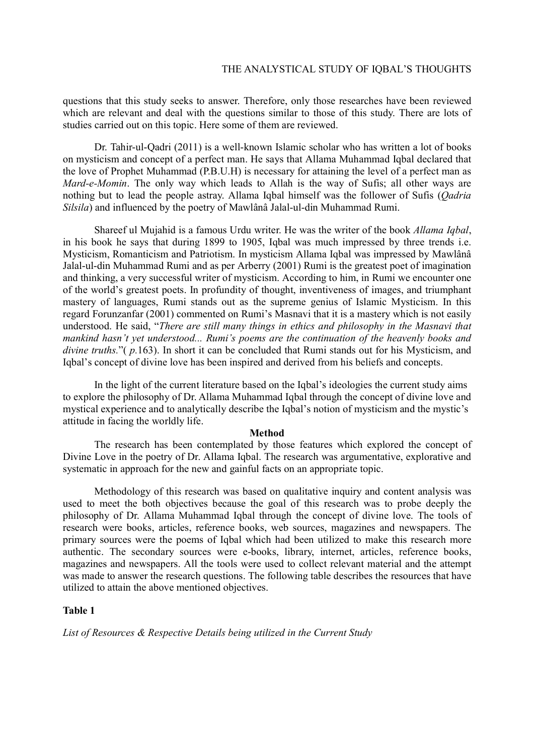questions that this study seeks to answer. Therefore, only those researches have been reviewed which are relevant and deal with the questions similar to those of this study. There are lots of studies carried out on this topic. Here some of them are reviewed.

Dr. Tahir-ul-Qadri (2011) is a well-known Islamic scholar who has written a lot of books on mysticism and concept of a perfect man. He says that Allama Muhammad Iqbal declared that the love of Prophet Muhammad (P.B.U.H) is necessary for attaining the level of a perfect man as Mard-e-Momin. The only way which leads to Allah is the way of Sufis; all other ways are nothing but to lead the people astray. Allama Iqbal himself was the follower of Sufis (*Qadria*) Silsila) and influenced by the poetry of Mawlânâ Jalal-ul-din Muhammad Rumi.

Shareef ul Mujahid is a famous Urdu writer. He was the writer of the book Allama Iqbal, in his book he says that during 1899 to 1905, Iqbal was much impressed by three trends i.e. Mysticism, Romanticism and Patriotism. In mysticism Allama Iqbal was impressed by Mawlânâ Jalal-ul-din Muhammad Rumi and as per Arberry (2001) Rumi is the greatest poet of imagination and thinking, a very successful writer of mysticism. According to him, in Rumi we encounter one of the world's greatest poets. In profundity of thought, inventiveness of images, and triumphant mastery of languages, Rumi stands out as the supreme genius of Islamic Mysticism. In this regard Forunzanfar (2001) commented on Rumi's Masnavi that it is a mastery which is not easily understood. He said, "There are still many things in ethics and philosophy in the Masnavi that mankind hasn't yet understood... Rumi's poems are the continuation of the heavenly books and divine truths." (p.163). In short it can be concluded that Rumi stands out for his Mysticism, and Iqbal's concept of divine love has been inspired and derived from his beliefs and concepts.

In the light of the current literature based on the Iqbal's ideologies the current study aims to explore the philosophy of Dr. Allama Muhammad Iqbal through the concept of divine love and mystical experience and to analytically describe the Iqbal's notion of mysticism and the mystic's attitude in facing the worldly life.

#### Method

The research has been contemplated by those features which explored the concept of Divine Love in the poetry of Dr. Allama Iqbal. The research was argumentative, explorative and systematic in approach for the new and gainful facts on an appropriate topic.

Methodology of this research was based on qualitative inquiry and content analysis was used to meet the both objectives because the goal of this research was to probe deeply the philosophy of Dr. Allama Muhammad Iqbal through the concept of divine love. The tools of research were books, articles, reference books, web sources, magazines and newspapers. The primary sources were the poems of Iqbal which had been utilized to make this research more authentic. The secondary sources were e-books, library, internet, articles, reference books, magazines and newspapers. All the tools were used to collect relevant material and the attempt was made to answer the research questions. The following table describes the resources that have utilized to attain the above mentioned objectives.

## Table 1

List of Resources & Respective Details being utilized in the Current Study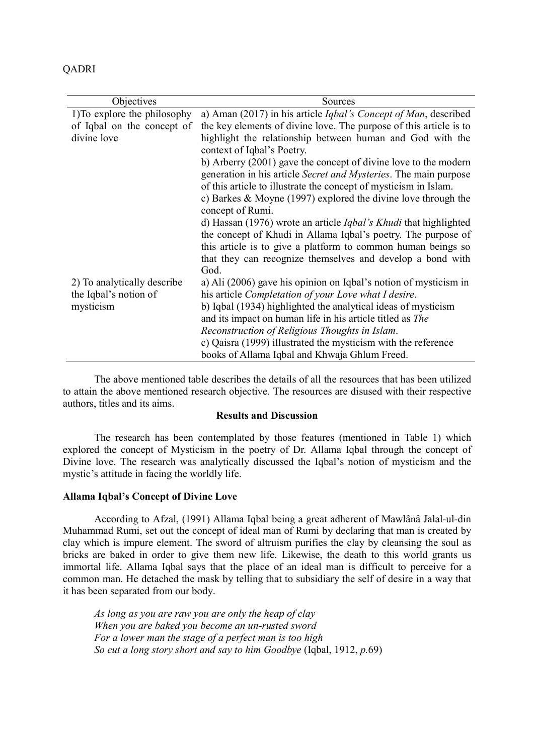| ۰. |
|----|
|----|

| Objectives                                           | Sources                                                                                                                                                                                                                                                                                                                                                                                                    |
|------------------------------------------------------|------------------------------------------------------------------------------------------------------------------------------------------------------------------------------------------------------------------------------------------------------------------------------------------------------------------------------------------------------------------------------------------------------------|
| 1) To explore the philosophy                         | a) Aman (2017) in his article <i>Iqbal's Concept of Man</i> , described                                                                                                                                                                                                                                                                                                                                    |
| of Iqbal on the concept of                           | the key elements of divine love. The purpose of this article is to                                                                                                                                                                                                                                                                                                                                         |
| divine love                                          | highlight the relationship between human and God with the<br>context of Iqbal's Poetry.                                                                                                                                                                                                                                                                                                                    |
|                                                      | b) Arberry (2001) gave the concept of divine love to the modern<br>generation in his article Secret and Mysteries. The main purpose<br>of this article to illustrate the concept of mysticism in Islam.<br>c) Barkes & Moyne (1997) explored the divine love through the<br>concept of Rumi.                                                                                                               |
| 2) To analytically describe<br>the Iqbal's notion of | d) Hassan (1976) wrote an article <i>Iqbal's Khudi</i> that highlighted<br>the concept of Khudi in Allama Iqbal's poetry. The purpose of<br>this article is to give a platform to common human beings so<br>that they can recognize themselves and develop a bond with<br>God.<br>a) Ali (2006) gave his opinion on Iqbal's notion of mysticism in<br>his article Completation of your Love what I desire. |
| mysticism                                            | b) Iqbal (1934) highlighted the analytical ideas of mysticism<br>and its impact on human life in his article titled as The<br>Reconstruction of Religious Thoughts in Islam.<br>c) Qaisra (1999) illustrated the mysticism with the reference<br>books of Allama Iqbal and Khwaja Ghlum Freed.                                                                                                             |

The above mentioned table describes the details of all the resources that has been utilized to attain the above mentioned research objective. The resources are disused with their respective authors, titles and its aims.

## Results and Discussion

The research has been contemplated by those features (mentioned in Table 1) which explored the concept of Mysticism in the poetry of Dr. Allama Iqbal through the concept of Divine love. The research was analytically discussed the Iqbal's notion of mysticism and the mystic's attitude in facing the worldly life.

### Allama Iqbal's Concept of Divine Love

According to Afzal, (1991) Allama Iqbal being a great adherent of Mawlânâ Jalal-ul-din Muhammad Rumi, set out the concept of ideal man of Rumi by declaring that man is created by clay which is impure element. The sword of altruism purifies the clay by cleansing the soul as bricks are baked in order to give them new life. Likewise, the death to this world grants us immortal life. Allama Iqbal says that the place of an ideal man is difficult to perceive for a common man. He detached the mask by telling that to subsidiary the self of desire in a way that it has been separated from our body.

As long as you are raw you are only the heap of clay When you are baked you become an un-rusted sword For a lower man the stage of a perfect man is too high So cut a long story short and say to him Goodbye (Iqbal, 1912, p.69)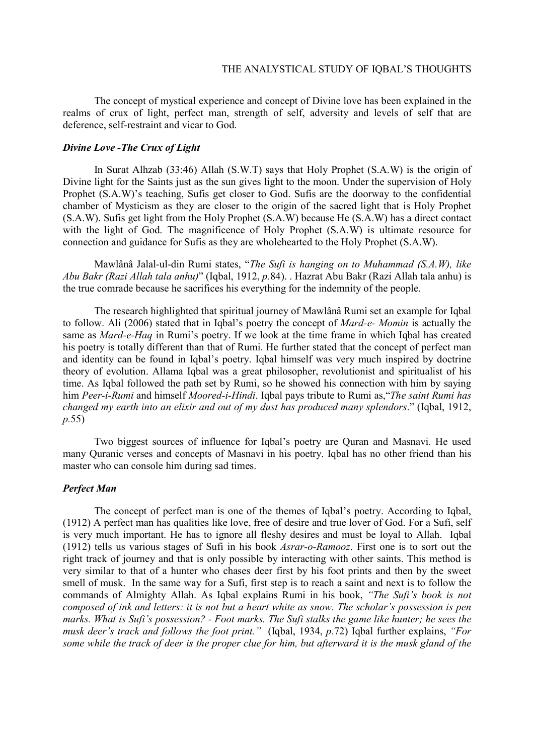The concept of mystical experience and concept of Divine love has been explained in the realms of crux of light, perfect man, strength of self, adversity and levels of self that are deference, self-restraint and vicar to God.

#### Divine Love -The Crux of Light

In Surat Alhzab (33:46) Allah (S.W.T) says that Holy Prophet (S.A.W) is the origin of Divine light for the Saints just as the sun gives light to the moon. Under the supervision of Holy Prophet (S.A.W)'s teaching, Sufis get closer to God. Sufis are the doorway to the confidential chamber of Mysticism as they are closer to the origin of the sacred light that is Holy Prophet (S.A.W). Sufis get light from the Holy Prophet (S.A.W) because He (S.A.W) has a direct contact with the light of God. The magnificence of Holy Prophet (S.A.W) is ultimate resource for connection and guidance for Sufis as they are wholehearted to the Holy Prophet (S.A.W).

Mawlânâ Jalal-ul-din Rumi states, "The Sufi is hanging on to Muhammad (S.A.W), like Abu Bakr (Razi Allah tala anhu)" (Iqbal, 1912, p.84). . Hazrat Abu Bakr (Razi Allah tala anhu) is the true comrade because he sacrifices his everything for the indemnity of the people.

The research highlighted that spiritual journey of Mawlânâ Rumi set an example for Iqbal to follow. Ali (2006) stated that in Iqbal's poetry the concept of Mard-e- Momin is actually the same as Mard-e-Haq in Rumi's poetry. If we look at the time frame in which Iqbal has created his poetry is totally different than that of Rumi. He further stated that the concept of perfect man and identity can be found in Iqbal's poetry. Iqbal himself was very much inspired by doctrine theory of evolution. Allama Iqbal was a great philosopher, revolutionist and spiritualist of his time. As Iqbal followed the path set by Rumi, so he showed his connection with him by saying him Peer-i-Rumi and himself Moored-i-Hindi. Iqbal pays tribute to Rumi as, "The saint Rumi has changed my earth into an elixir and out of my dust has produced many splendors." (Iqbal, 1912, p.55)

Two biggest sources of influence for Iqbal's poetry are Quran and Masnavi. He used many Quranic verses and concepts of Masnavi in his poetry. Iqbal has no other friend than his master who can console him during sad times.

## Perfect Man

The concept of perfect man is one of the themes of Iqbal's poetry. According to Iqbal, (1912) A perfect man has qualities like love, free of desire and true lover of God. For a Sufi, self is very much important. He has to ignore all fleshy desires and must be loyal to Allah. Iqbal (1912) tells us various stages of Sufi in his book Asrar-o-Ramooz. First one is to sort out the right track of journey and that is only possible by interacting with other saints. This method is very similar to that of a hunter who chases deer first by his foot prints and then by the sweet smell of musk. In the same way for a Sufi, first step is to reach a saint and next is to follow the commands of Almighty Allah. As Iqbal explains Rumi in his book, "The Sufi's book is not composed of ink and letters: it is not but a heart white as snow. The scholar's possession is pen marks. What is Sufi's possession? - Foot marks. The Sufi stalks the game like hunter; he sees the musk deer's track and follows the foot print." (Iqbal, 1934, p.72) Iqbal further explains, "For some while the track of deer is the proper clue for him, but afterward it is the musk gland of the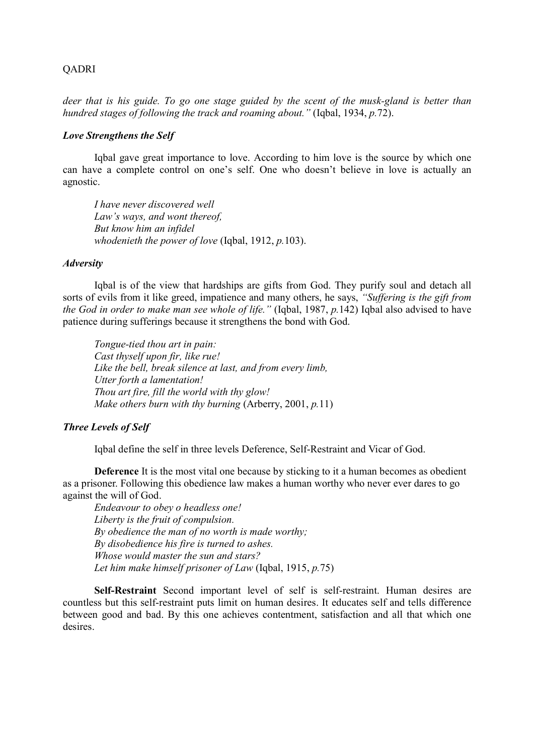## QADRI

deer that is his guide. To go one stage guided by the scent of the musk-gland is better than hundred stages of following the track and roaming about." (Iqbal, 1934, p.72).

## Love Strengthens the Self

Iqbal gave great importance to love. According to him love is the source by which one can have a complete control on one's self. One who doesn't believe in love is actually an agnostic.

I have never discovered well Law's ways, and wont thereof, But know him an infidel whodenieth the power of love (Iqbal,  $1912$ ,  $p.103$ ).

#### **Adversity**

Iqbal is of the view that hardships are gifts from God. They purify soul and detach all sorts of evils from it like greed, impatience and many others, he says, "Suffering is the gift from the God in order to make man see whole of life." (Iqbal,  $1987, p.142$ ) Iqbal also advised to have patience during sufferings because it strengthens the bond with God.

Tongue-tied thou art in pain: Cast thyself upon fir, like rue! Like the bell, break silence at last, and from every limb, Utter forth a lamentation! Thou art fire, fill the world with thy glow! Make others burn with thy burning (Arberry, 2001,  $p.11$ )

# Three Levels of Self

Iqbal define the self in three levels Deference, Self-Restraint and Vicar of God.

Deference It is the most vital one because by sticking to it a human becomes as obedient as a prisoner. Following this obedience law makes a human worthy who never ever dares to go against the will of God.

Endeavour to obey o headless one! Liberty is the fruit of compulsion. By obedience the man of no worth is made worthy; By disobedience his fire is turned to ashes. Whose would master the sun and stars? Let him make himself prisoner of Law (Iqbal, 1915, p.75)

Self-Restraint Second important level of self is self-restraint. Human desires are countless but this self-restraint puts limit on human desires. It educates self and tells difference between good and bad. By this one achieves contentment, satisfaction and all that which one desires.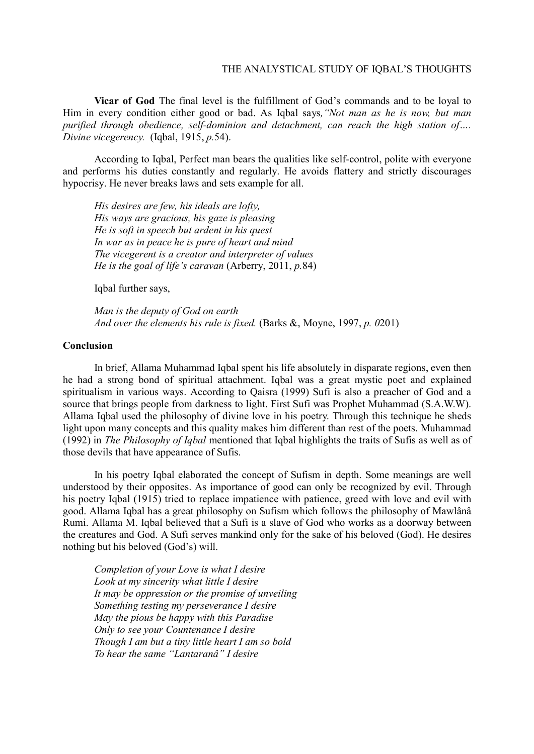#### THE ANALYSTICAL STUDY OF IQBAL'S THOUGHTS

Vicar of God The final level is the fulfillment of God's commands and to be loyal to Him in every condition either good or bad. As Iqbal says,"Not man as he is now, but man purified through obedience, self-dominion and detachment, can reach the high station of…. Divine vicegerency. (Iqbal, 1915, p.54).

According to Iqbal, Perfect man bears the qualities like self-control, polite with everyone and performs his duties constantly and regularly. He avoids flattery and strictly discourages hypocrisy. He never breaks laws and sets example for all.

His desires are few, his ideals are lofty, His ways are gracious, his gaze is pleasing He is soft in speech but ardent in his quest In war as in peace he is pure of heart and mind The vicegerent is a creator and interpreter of values He is the goal of life's caravan (Arberry, 2011, p.84)

Iqbal further says,

Man is the deputy of God on earth And over the elements his rule is fixed. (Barks &, Moyne, 1997, p. 0201)

## Conclusion

In brief, Allama Muhammad Iqbal spent his life absolutely in disparate regions, even then he had a strong bond of spiritual attachment. Iqbal was a great mystic poet and explained spiritualism in various ways. According to Qaisra (1999) Sufi is also a preacher of God and a source that brings people from darkness to light. First Sufi was Prophet Muhammad (S.A.W.W). Allama Iqbal used the philosophy of divine love in his poetry. Through this technique he sheds light upon many concepts and this quality makes him different than rest of the poets. Muhammad (1992) in The Philosophy of Iqbal mentioned that Iqbal highlights the traits of Sufis as well as of those devils that have appearance of Sufis.

In his poetry Iqbal elaborated the concept of Sufism in depth. Some meanings are well understood by their opposites. As importance of good can only be recognized by evil. Through his poetry Iqbal (1915) tried to replace impatience with patience, greed with love and evil with good. Allama Iqbal has a great philosophy on Sufism which follows the philosophy of Mawlânâ Rumi. Allama M. Iqbal believed that a Sufi is a slave of God who works as a doorway between the creatures and God. A Sufi serves mankind only for the sake of his beloved (God). He desires nothing but his beloved (God's) will.

Completion of your Love is what I desire Look at my sincerity what little I desire It may be oppression or the promise of unveiling Something testing my perseverance I desire May the pious be happy with this Paradise Only to see your Countenance I desire Though I am but a tiny little heart I am so bold To hear the same "Lantaranâ" I desire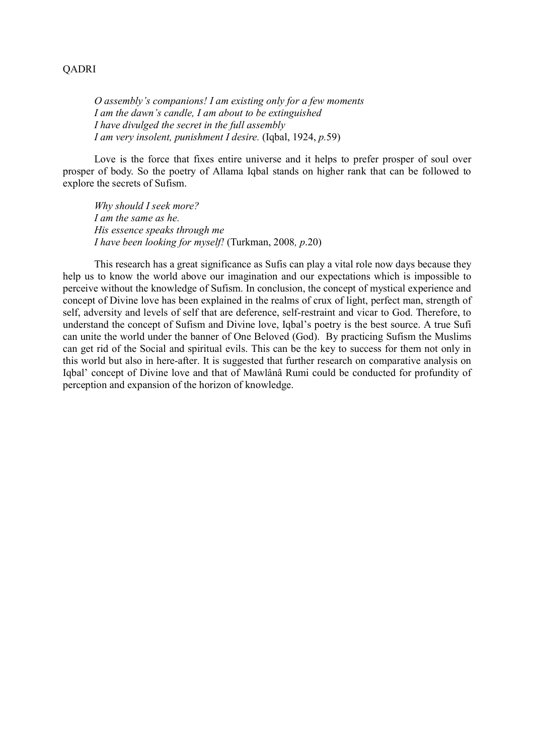### QADRI

O assembly's companions! I am existing only for a few moments I am the dawn's candle, I am about to be extinguished I have divulged the secret in the full assembly I am very insolent, punishment I desire. (Iqbal, 1924, p.59)

Love is the force that fixes entire universe and it helps to prefer prosper of soul over prosper of body. So the poetry of Allama Iqbal stands on higher rank that can be followed to explore the secrets of Sufism.

Why should I seek more? I am the same as he. His essence speaks through me I have been looking for myself! (Turkman, 2008, p.20)

This research has a great significance as Sufis can play a vital role now days because they help us to know the world above our imagination and our expectations which is impossible to perceive without the knowledge of Sufism. In conclusion, the concept of mystical experience and concept of Divine love has been explained in the realms of crux of light, perfect man, strength of self, adversity and levels of self that are deference, self-restraint and vicar to God. Therefore, to understand the concept of Sufism and Divine love, Iqbal's poetry is the best source. A true Sufi can unite the world under the banner of One Beloved (God). By practicing Sufism the Muslims can get rid of the Social and spiritual evils. This can be the key to success for them not only in this world but also in here-after. It is suggested that further research on comparative analysis on Iqbal' concept of Divine love and that of Mawlânâ Rumi could be conducted for profundity of perception and expansion of the horizon of knowledge.